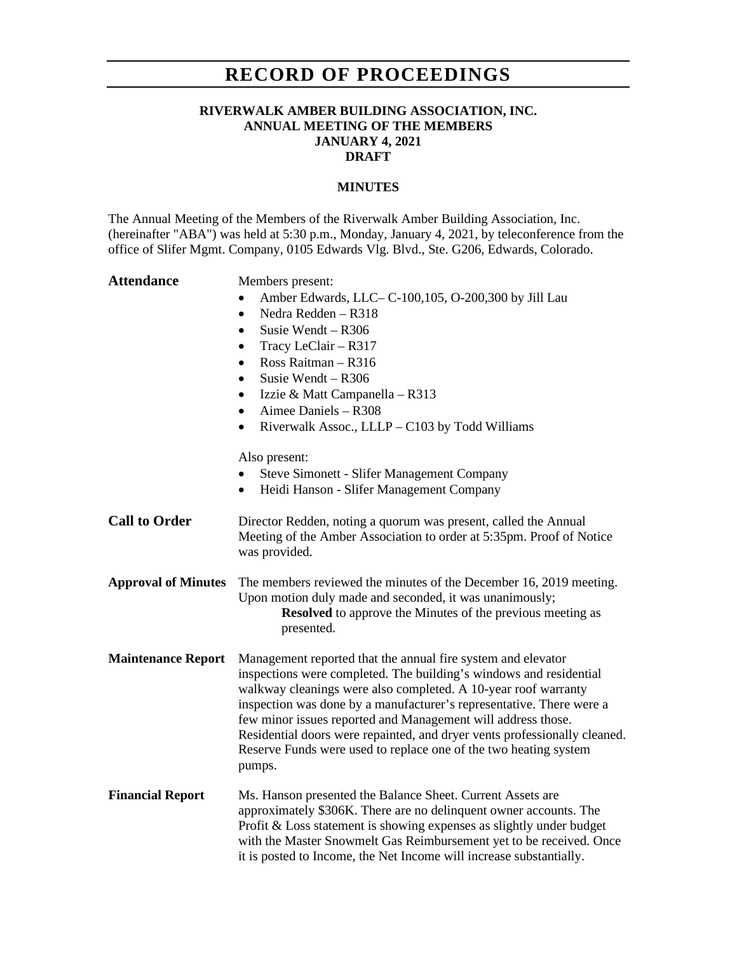# **RECORD OF PROCEEDINGS**

### **RIVERWALK AMBER BUILDING ASSOCIATION, INC. ANNUAL MEETING OF THE MEMBERS JANUARY 4, 2021 DRAFT**

#### **MINUTES**

The Annual Meeting of the Members of the Riverwalk Amber Building Association, Inc. (hereinafter "ABA") was held at 5:30 p.m., Monday, January 4, 2021, by teleconference from the office of Slifer Mgmt. Company, 0105 Edwards Vlg. Blvd., Ste. G206, Edwards, Colorado.

| <b>Attendance</b>          | Members present:<br>Amber Edwards, LLC– C-100,105, O-200,300 by Jill Lau<br>Nedra Redden - R318<br>$\bullet$<br>Susie Wendt - R306<br>$\bullet$<br>Tracy LeClair - R317<br>٠<br>Ross Raitman - R316<br>$\bullet$<br>Susie Wendt $-$ R306<br>Izzie & Matt Campanella - R313<br>٠<br>Aimee Daniels - R308<br>Riverwalk Assoc., LLLP - C103 by Todd Williams<br>Also present:<br><b>Steve Simonett - Slifer Management Company</b><br>Heidi Hanson - Slifer Management Company<br>$\bullet$                |
|----------------------------|---------------------------------------------------------------------------------------------------------------------------------------------------------------------------------------------------------------------------------------------------------------------------------------------------------------------------------------------------------------------------------------------------------------------------------------------------------------------------------------------------------|
|                            |                                                                                                                                                                                                                                                                                                                                                                                                                                                                                                         |
| <b>Call to Order</b>       | Director Redden, noting a quorum was present, called the Annual<br>Meeting of the Amber Association to order at 5:35pm. Proof of Notice<br>was provided.                                                                                                                                                                                                                                                                                                                                                |
| <b>Approval of Minutes</b> | The members reviewed the minutes of the December 16, 2019 meeting.<br>Upon motion duly made and seconded, it was unanimously;<br><b>Resolved</b> to approve the Minutes of the previous meeting as<br>presented.                                                                                                                                                                                                                                                                                        |
| <b>Maintenance Report</b>  | Management reported that the annual fire system and elevator<br>inspections were completed. The building's windows and residential<br>walkway cleanings were also completed. A 10-year roof warranty<br>inspection was done by a manufacturer's representative. There were a<br>few minor issues reported and Management will address those.<br>Residential doors were repainted, and dryer vents professionally cleaned.<br>Reserve Funds were used to replace one of the two heating system<br>pumps. |
| <b>Financial Report</b>    | Ms. Hanson presented the Balance Sheet. Current Assets are<br>approximately \$306K. There are no delinquent owner accounts. The<br>Profit & Loss statement is showing expenses as slightly under budget<br>with the Master Snowmelt Gas Reimbursement yet to be received. Once<br>it is posted to Income, the Net Income will increase substantially.                                                                                                                                                   |